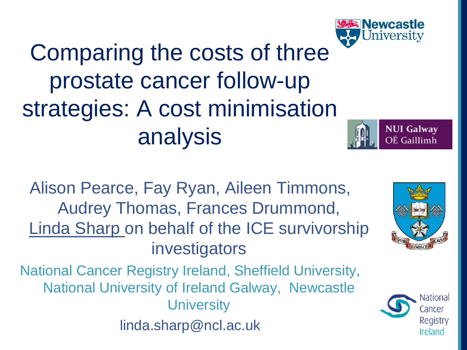

Comparing the costs of three prostate cancer follow-up strategies: A cost minimisation analysis

Alison Pearce, Fay Ryan, Aileen Timmons, Audrey Thomas, Frances Drummond, Linda Sharp on behalf of the ICE survivorship investigators

National Cancer Registry Ireland, Sheffield University, National University of Ireland Galway, Newcastle **University** 

linda.sharp@ncl.ac.uk



**NUI Galway** OÉ Gaillimh

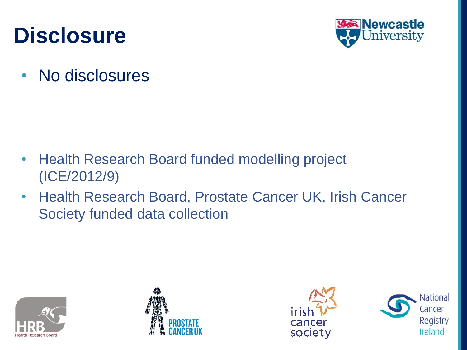### **Disclosure**



• No disclosures

- Health Research Board funded modelling project (ICE/2012/9)
- Health Research Board, Prostate Cancer UK, Irish Cancer Society funded data collection







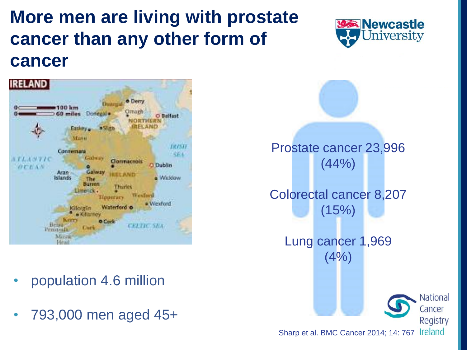### **More men are living with prostate cancer than any other form of cancer**



- population 4.6 million
- 793,000 men aged 45+



Prostate cancer 23,996  $(44% )$ Colorectal cancer 8,207  $(15%)$ Lung cancer 1,969  $(4%)$ National Cancer

Sharp et al. BMC Cancer 2014; 14: 767 Ireland

Registry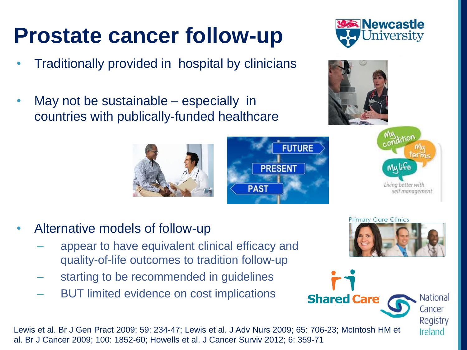# **Prostate cancer follow-up**

- Traditionally provided in hospital by clinicians
- May not be sustainable especially in countries with publically-funded healthcare

- Alternative models of follow-up
	- appear to have equivalent clinical efficacy and quality-of-life outcomes to tradition follow-up
	- starting to be recommended in guidelines
	- BUT limited evidence on cost implications

Lewis et al. Br J Gen Pract 2009; 59: 234-47; Lewis et al. J Adv Nurs 2009; 65: 706-23; McIntosh HM et al. Br J Cancer 2009; 100: 1852-60; Howells et al. J Cancer Surviv 2012; 6: 359-71

National Cancer

> Registry Ireland





**Newcastle** niversity







**Shared Care**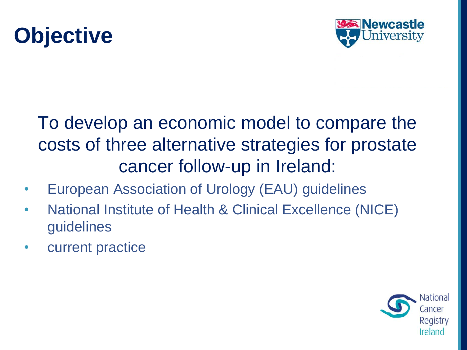### **Objective**



### To develop an economic model to compare the costs of three alternative strategies for prostate cancer follow-up in Ireland:

- European Association of Urology (EAU) guidelines
- National Institute of Health & Clinical Excellence (NICE) guidelines
- current practice

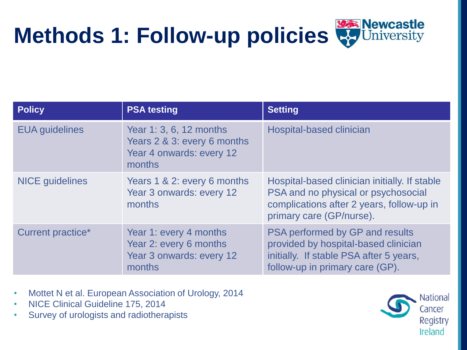



| <b>Policy</b>          | <b>PSA testing</b>                                                                           | <b>Setting</b>                                                                                                                                                |
|------------------------|----------------------------------------------------------------------------------------------|---------------------------------------------------------------------------------------------------------------------------------------------------------------|
| <b>EUA</b> guidelines  | Year 1: 3, 6, 12 months<br>Years 2 & 3: every 6 months<br>Year 4 onwards: every 12<br>months | <b>Hospital-based clinician</b>                                                                                                                               |
| <b>NICE</b> guidelines | Years 1 & 2: every 6 months<br>Year 3 onwards: every 12<br>months                            | Hospital-based clinician initially. If stable<br>PSA and no physical or psychosocial<br>complications after 2 years, follow-up in<br>primary care (GP/nurse). |
| Current practice*      | Year 1: every 4 months<br>Year 2: every 6 months<br>Year 3 onwards: every 12<br>months       | PSA performed by GP and results<br>provided by hospital-based clinician<br>initially. If stable PSA after 5 years,<br>follow-up in primary care (GP).         |

- Mottet N et al. European Association of Urology, 2014
- NICE Clinical Guideline 175, 2014
- Survey of urologists and radiotherapists

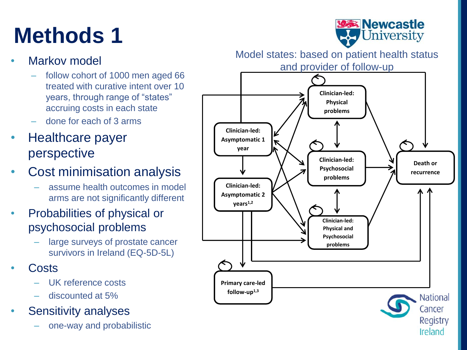# **Methods 1**



#### Markov model

- follow cohort of 1000 men aged 66 treated with curative intent over 10 years, through range of "states" accruing costs in each state
- done for each of 3 arms

#### • Healthcare payer perspective

- Cost minimisation analysis
	- assume health outcomes in model arms are not significantly different
- Probabilities of physical or psychosocial problems
	- large surveys of prostate cancer survivors in Ireland (EQ-5D-5L)
- Costs
	- UK reference costs
	- discounted at 5%
- Sensitivity analyses
	- one-way and probabilistic

Model states: based on patient health status

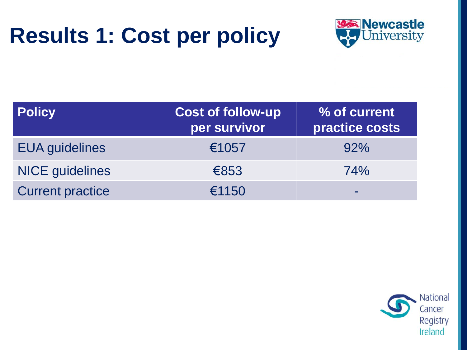## **Results 1: Cost per policy**



| <b>Policy</b>           | <b>Cost of follow-up</b><br>per survivor | % of current<br>practice costs |
|-------------------------|------------------------------------------|--------------------------------|
| <b>EUA</b> guidelines   | €1057                                    | 92%                            |
| <b>NICE</b> guidelines  | €853                                     | 74%                            |
| <b>Current practice</b> | €1150                                    |                                |

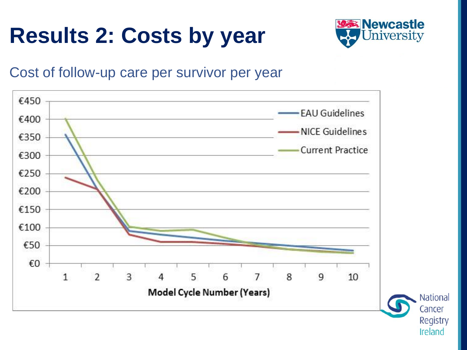# **Results 2: Costs by year**



#### Cost of follow-up care per survivor per year



Cancer Registry Ireland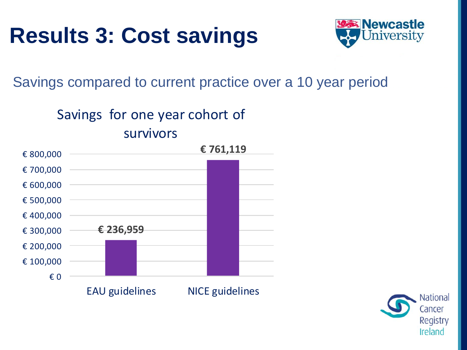## **Results 3: Cost savings**



Savings compared to current practice over a 10 year period

#### Savings for one year cohort of survivors



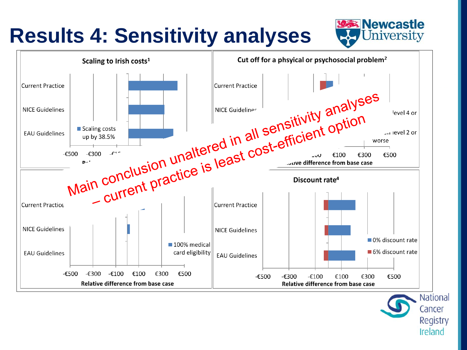### **Results 4: Sensitivity analyses**





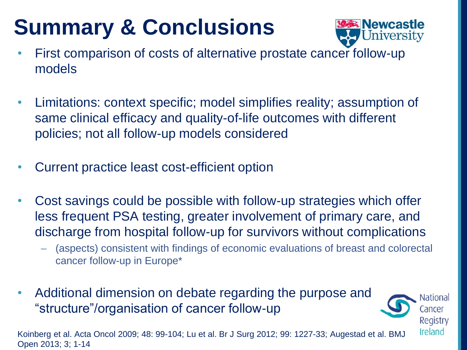# **Summary & Conclusions**



- First comparison of costs of alternative prostate cancer follow-up models
- Limitations: context specific; model simplifies reality; assumption of same clinical efficacy and quality-of-life outcomes with different policies; not all follow-up models considered
- Current practice least cost-efficient option
- Cost savings could be possible with follow-up strategies which offer less frequent PSA testing, greater involvement of primary care, and discharge from hospital follow-up for survivors without complications
	- (aspects) consistent with findings of economic evaluations of breast and colorectal cancer follow-up in Europe\*
- Additional dimension on debate regarding the purpose and "structure"/organisation of cancer follow-up

National Cancer Registry Ireland

Koinberg et al. Acta Oncol 2009; 48: 99-104; Lu et al. Br J Surg 2012; 99: 1227-33; Augestad et al. BMJ Open 2013; 3; 1-14